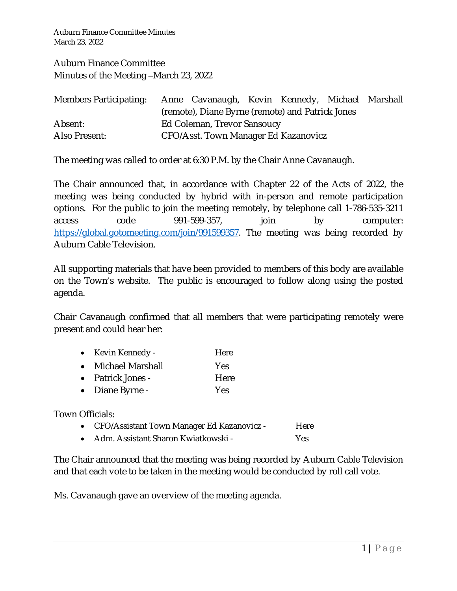Auburn Finance Committee Minutes March 23, 2022

Auburn Finance Committee Minutes of the Meeting –March 23, 2022

| Members Participating: Anne Cavanaugh, Kevin Kennedy, Michael Marshall |                                                  |  |  |  |  |  |
|------------------------------------------------------------------------|--------------------------------------------------|--|--|--|--|--|
|                                                                        | (remote), Diane Byrne (remote) and Patrick Jones |  |  |  |  |  |
| Absent:                                                                | Ed Coleman, Trevor Sansoucy                      |  |  |  |  |  |
| Also Present:                                                          | CFO/Asst. Town Manager Ed Kazanovicz             |  |  |  |  |  |

The meeting was called to order at 6:30 P.M. by the Chair Anne Cavanaugh.

The Chair announced that, in accordance with Chapter 22 of the Acts of 2022, the meeting was being conducted by hybrid with in-person and remote participation options. For the public to join the meeting remotely, by telephone call 1-786-535-3211 access code 991-599-357, join by computer: <https://global.gotomeeting.com/join/991599357>. The meeting was being recorded by Auburn Cable Television.

All supporting materials that have been provided to members of this body are available on the Town's website. The public is encouraged to follow along using the posted agenda.

Chair Cavanaugh confirmed that all members that were participating remotely were present and could hear her:

| $\bullet$ | Kevin Kennedy -   | Here       |
|-----------|-------------------|------------|
| $\bullet$ | Michael Marshall  | <b>Yes</b> |
|           | • Patrick Jones - | Here       |

• Diane Byrne - Yes

Town Officials:

- CFO/Assistant Town Manager Ed Kazanovicz Here
- Adm. Assistant Sharon Kwiatkowski Yes

The Chair announced that the meeting was being recorded by Auburn Cable Television and that each vote to be taken in the meeting would be conducted by roll call vote.

Ms. Cavanaugh gave an overview of the meeting agenda.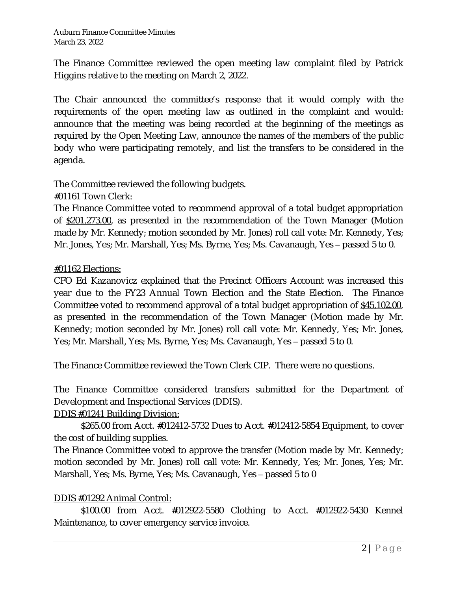The Finance Committee reviewed the open meeting law complaint filed by Patrick Higgins relative to the meeting on March 2, 2022.

The Chair announced the committee's response that it would comply with the requirements of the open meeting law as outlined in the complaint and would: announce that the meeting was being recorded at the beginning of the meetings as required by the Open Meeting Law, announce the names of the members of the public body who were participating remotely, and list the transfers to be considered in the agenda.

The Committee reviewed the following budgets.

## #01161 Town Clerk:

The Finance Committee voted to recommend approval of a total budget appropriation of \$201,273.00, as presented in the recommendation of the Town Manager (Motion made by Mr. Kennedy; motion seconded by Mr. Jones) roll call vote: Mr. Kennedy, Yes; Mr. Jones, Yes; Mr. Marshall, Yes; Ms. Byrne, Yes; Ms. Cavanaugh, Yes – passed 5 to 0.

## #01162 Elections:

CFO Ed Kazanovicz explained that the Precinct Officers Account was increased this year due to the FY23 Annual Town Election and the State Election. The Finance Committee voted to recommend approval of a total budget appropriation of \$45,102.00, as presented in the recommendation of the Town Manager (Motion made by Mr. Kennedy; motion seconded by Mr. Jones) roll call vote: Mr. Kennedy, Yes; Mr. Jones, Yes; Mr. Marshall, Yes; Ms. Byrne, Yes; Ms. Cavanaugh, Yes – passed 5 to 0.

The Finance Committee reviewed the Town Clerk CIP. There were no questions.

The Finance Committee considered transfers submitted for the Department of Development and Inspectional Services (DDIS).

## DDIS #01241 Building Division:

\$265.00 from Acct. #012412-5732 Dues to Acct. #012412-5854 Equipment, to cover the cost of building supplies.

The Finance Committee voted to approve the transfer (Motion made by Mr. Kennedy; motion seconded by Mr. Jones) roll call vote: Mr. Kennedy, Yes; Mr. Jones, Yes; Mr. Marshall, Yes; Ms. Byrne, Yes; Ms. Cavanaugh, Yes – passed 5 to 0

## DDIS #01292 Animal Control:

\$100.00 from Acct. #012922-5580 Clothing to Acct. #012922-5430 Kennel Maintenance, to cover emergency service invoice.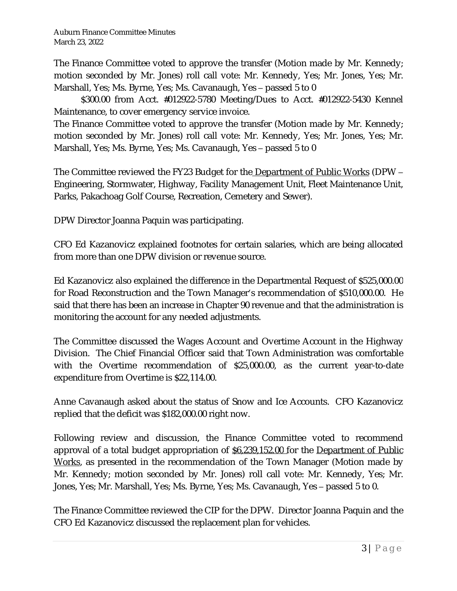The Finance Committee voted to approve the transfer (Motion made by Mr. Kennedy; motion seconded by Mr. Jones) roll call vote: Mr. Kennedy, Yes; Mr. Jones, Yes; Mr. Marshall, Yes; Ms. Byrne, Yes; Ms. Cavanaugh, Yes – passed 5 to 0

\$300.00 from Acct. #012922-5780 Meeting/Dues to Acct. #012922-5430 Kennel Maintenance, to cover emergency service invoice.

The Finance Committee voted to approve the transfer (Motion made by Mr. Kennedy; motion seconded by Mr. Jones) roll call vote: Mr. Kennedy, Yes; Mr. Jones, Yes; Mr. Marshall, Yes; Ms. Byrne, Yes; Ms. Cavanaugh, Yes – passed 5 to 0

The Committee reviewed the FY23 Budget for the Department of Public Works (DPW – Engineering, Stormwater, Highway, Facility Management Unit, Fleet Maintenance Unit, Parks, Pakachoag Golf Course, Recreation, Cemetery and Sewer).

DPW Director Joanna Paquin was participating.

CFO Ed Kazanovicz explained footnotes for certain salaries, which are being allocated from more than one DPW division or revenue source.

Ed Kazanovicz also explained the difference in the Departmental Request of \$525,000.00 for Road Reconstruction and the Town Manager's recommendation of \$510,000.00. He said that there has been an increase in Chapter 90 revenue and that the administration is monitoring the account for any needed adjustments.

The Committee discussed the Wages Account and Overtime Account in the Highway Division. The Chief Financial Officer said that Town Administration was comfortable with the Overtime recommendation of \$25,000.00, as the current year-to-date expenditure from Overtime is \$22,114.00.

Anne Cavanaugh asked about the status of Snow and Ice Accounts. CFO Kazanovicz replied that the deficit was \$182,000.00 right now.

Following review and discussion, the Finance Committee voted to recommend approval of a total budget appropriation of \$6,239,152.00 for the Department of Public Works, as presented in the recommendation of the Town Manager (Motion made by Mr. Kennedy; motion seconded by Mr. Jones) roll call vote: Mr. Kennedy, Yes; Mr. Jones, Yes; Mr. Marshall, Yes; Ms. Byrne, Yes; Ms. Cavanaugh, Yes – passed 5 to 0.

The Finance Committee reviewed the CIP for the DPW. Director Joanna Paquin and the CFO Ed Kazanovicz discussed the replacement plan for vehicles.